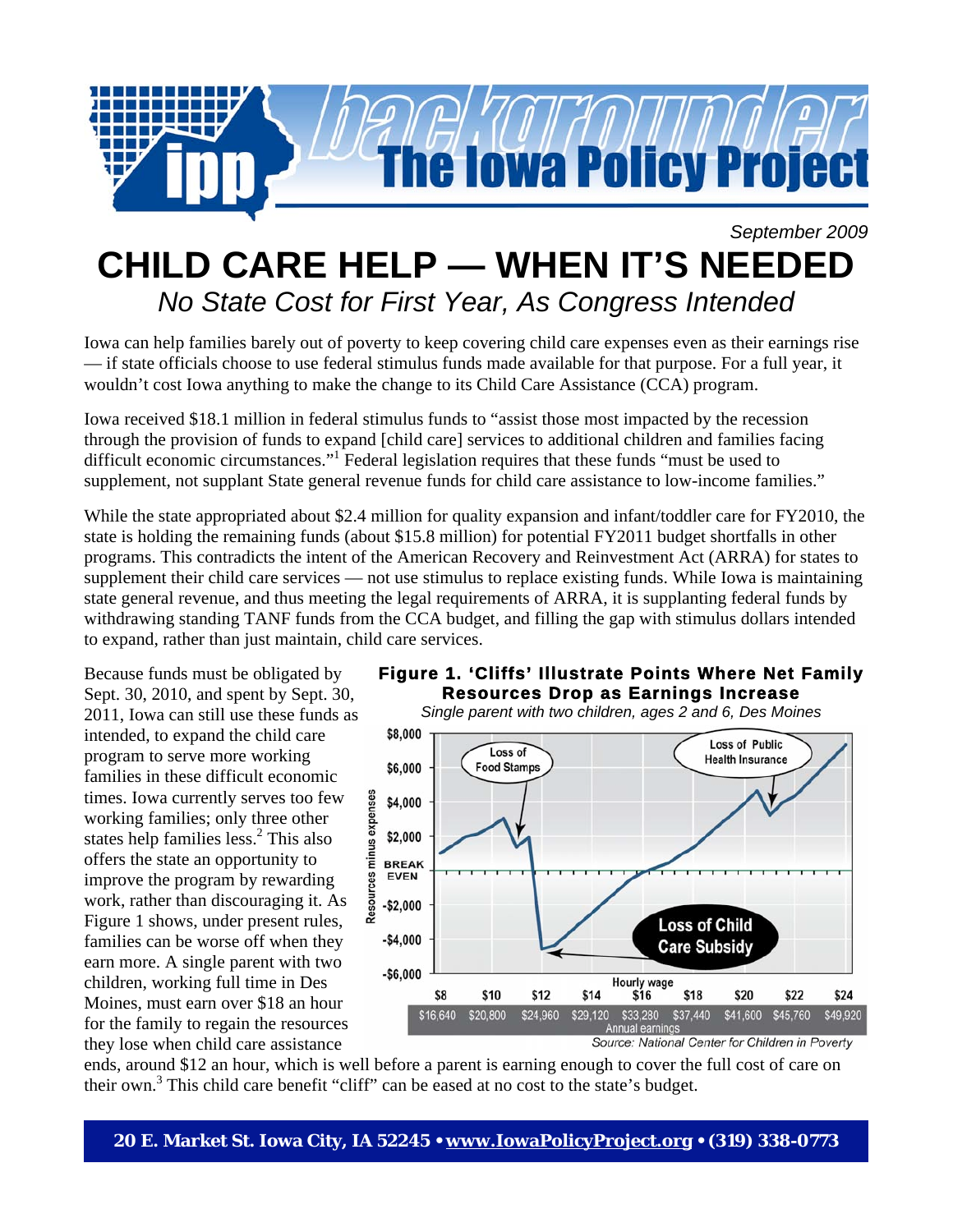

## *September 2009*  **CHILD CARE HELP — WHEN IT'S NEEDED**  *No State Cost for First Year, As Congress Intended*

Iowa can help families barely out of poverty to keep covering child care expenses even as their earnings rise — if state officials choose to use federal stimulus funds made available for that purpose. For a full year, it wouldn't cost Iowa anything to make the change to its Child Care Assistance (CCA) program.

Iowa received \$18.1 million in federal stimulus funds to "assist those most impacted by the recession through the provision of funds to expand [child care] services to additional children and families facing difficult economic circumstances."<sup>1</sup> Federal legislation requires that these funds "must be used to supplement, not supplant State general revenue funds for child care assistance to low-income families."

While the state appropriated about \$2.4 million for quality expansion and infant/toddler care for FY2010, the state is holding the remaining funds (about \$15.8 million) for potential FY2011 budget shortfalls in other programs. This contradicts the intent of the American Recovery and Reinvestment Act (ARRA) for states to supplement their child care services — not use stimulus to replace existing funds. While Iowa is maintaining state general revenue, and thus meeting the legal requirements of ARRA, it is supplanting federal funds by withdrawing standing TANF funds from the CCA budget, and filling the gap with stimulus dollars intended to expand, rather than just maintain, child care services.

Because funds must be obligated by Sept. 30, 2010, and spent by Sept. 30, 2011, Iowa can still use these funds as intended, to expand the child care program to serve more working families in these difficult economic times. Iowa currently serves too few working families; only three other states help families less.<sup>2</sup> This also offers the state an opportunity to improve the program by rewarding work, rather than discouraging it. As Figure 1 shows, under present rules, families can be worse off when they earn more. A single parent with two children, working full time in Des Moines, must earn over \$18 an hour for the family to regain the resources they lose when child care assistance



**Resources Drop as Earnings Increase**  *Single parent with two children, ages 2 and 6, Des Moines*\$8,000 **Loss of Public** Loss of **Health Insurance** \$6,000 **Food Stamps** Resources minus expenses \$4,000 \$2,000 **BREAK EVEN**  $-$2,000$ **Loss of Child**  $-$4,000$ **Care Subsidy**  $-$6,000$ Hourly wage \$8 \$10 \$12 \$14 \$16 \$18 \$20 \$22 \$24 \$16,640 \$20,800 \$24,960 \$29,120 \$33,280 \$37,440 \$41,600 \$45,760 \$49,920 Annual earnings

Source: National Center for Children in Poverty

ends, around \$12 an hour, which is well before a parent is earning enough to cover the full cost of care on their own.<sup>3</sup> This child care benefit "cliff" can be eased at no cost to the state's budget.